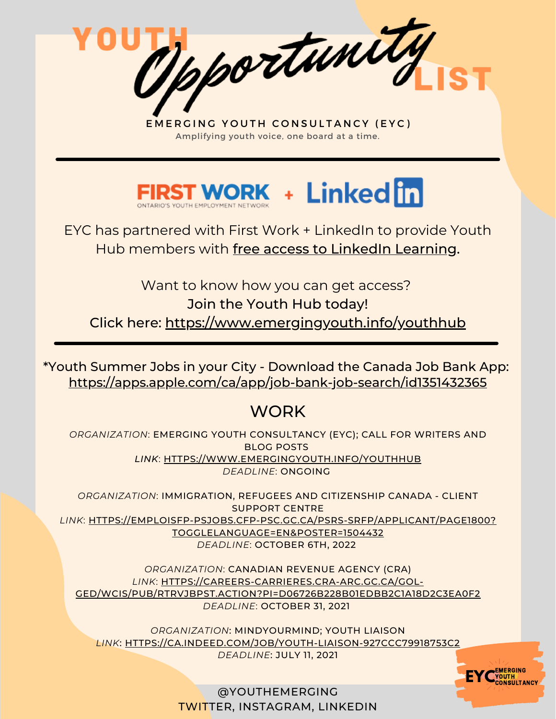Opportunity



EYC has partnered with First Work + LinkedIn to provide Youth Hub members with free access to LinkedIn Learning.

Want to know how you can get access? Join the Youth Hub today! Click here: <https://www.emergingyouth.info/youthhub>

<https://apps.apple.com/ca/app/job-bank-job-search/id1351432365> \*Youth Summer Jobs in your City - Download the Canada Job Bank App:

# **WORK**

*ORGANIZATION*: EMERGING YOUTH CONSULTANCY (EYC); CALL FOR WRITERS AND BLOG POSTS *LINK*: [HTTPS://WWW.EMERGINGYOUTH.INFO/YOUTHHUB](https://www.emergingyouth.info/youthhub) *DEADLINE*: ONGOING

*ORGANIZATION*: IMMIGRATION, REFUGEES AND CITIZENSHIP CANADA - CLIENT SUPPORT CENTRE *LINK*: [HTTPS://EMPLOISFP-PSJOBS.CFP-PSC.GC.CA/PSRS-SRFP/APPLICANT/PAGE1800?](https://emploisfp-psjobs.cfp-psc.gc.ca/psrs-srfp/applicant/page1800?toggleLanguage=en&poster=1504432) TOGGLELANGUAGE=EN&POSTER=1504432 *DEADLINE*: OCTOBER 6TH, 2022

*ORGANIZATION*: CANADIAN REVENUE AGENCY (CRA) *LINK*: HTTPS://CAREERS-CARRIERES.CRA-ARC.GC.CA/GOL-[GED/WCIS/PUB/RTRVJBPST.ACTION?PI=D06726B228B01EDBB2C1A18D2C3EA0F2](https://careers-carrieres.cra-arc.gc.ca/gol-ged/wcis/pub/rtrvjbpst.action?pi=D06726B228B01EDBB2C1A18D2C3EA0F2) *DEADLINE*: OCTOBER 31, 2021

*ORGANIZATION*: MINDYOURMIND; YOUTH LIAISON *LINK*: [HTTPS://CA.INDEED.COM/JOB/YOUTH-LIAISON-927CCC79918753C2](https://ca.indeed.com/job/youth-liaison-927ccc79918753c2) *DEADLINE*: JULY 11, 2021

**EYC**<sup>EMERGING</sup>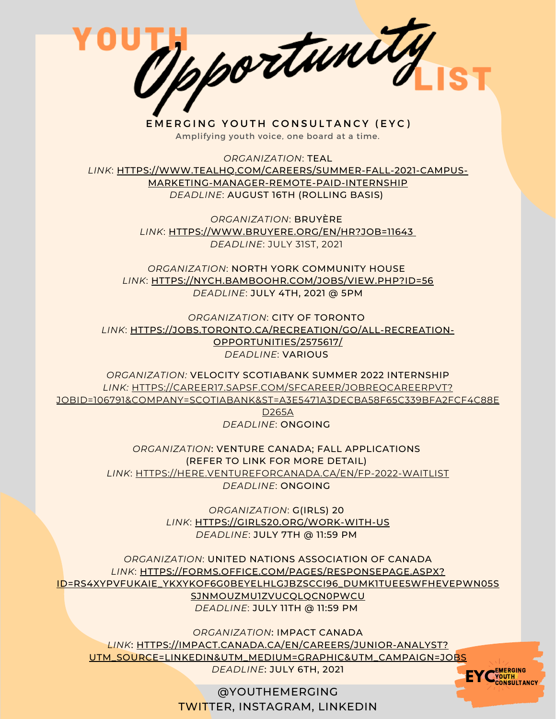

*ORGANIZATION*: TEAL *LINK*: [HTTPS://WWW.TEALHQ.COM/CAREERS/SUMMER-FALL-2021-CAMPUS-](https://www.tealhq.com/careers/summer-fall-2021-campus-marketing-manager-remote-paid-internship)MARKETING-MANAGER-REMOTE-PAID-INTERNSHIP *DEADLINE*: AUGUST 16TH (ROLLING BASIS)

> *ORGANIZATION*: BRUYÈRE *[LINK](https://www.bruyere.org/en/hr?job=11643)*[:](https://www.bruyere.org/en/hr?job=11643) [HTTPS://WWW.BRUYERE.ORG/EN/HR?JOB=11643](https://www.bruyere.org/en/hr?job=11643) *DEADLINE*: JULY 31ST, 2021

*ORGANIZATION*: NORTH YORK COMMUNITY HOUSE *[LINK](https://nych.bamboohr.com/jobs/view.php?id=56)*[:](https://nych.bamboohr.com/jobs/view.php?id=56) [HTTPS://NYCH.BAMBOOHR.COM/JOBS/VIEW.PHP?ID=56](https://nych.bamboohr.com/jobs/view.php?id=56) *DEADLINE*: JULY 4TH, 2021 @ 5PM

*ORGANIZATION*: CITY OF TORONTO *[LINK](https://jobs.toronto.ca/recreation/go/All-Recreation-Opportunities/2575617/)*[:](https://jobs.toronto.ca/recreation/go/All-Recreation-Opportunities/2575617/) [HTTPS://JOBS.TORONTO.CA/RECREATION/GO/ALL-RECREATION-](https://jobs.toronto.ca/recreation/go/All-Recreation-Opportunities/2575617/)OPPORTUNITIES/2575617/ *DEADLINE*: VARIOUS

*ORGANIZATION:* VELOCITY SCOTIABANK SUMMER 2022 INTERNSHIP *LINK:* HTTPS://CAREER17.SAPSF.COM/SFCAREER/JOBREQCAREERPVT? [JOBID=106791&COMPANY=SCOTIABANK&ST=A3E5471A3DECBA58F65C339BFA2FCF4C88E](https://career17.sapsf.com/sfcareer/jobreqcareerpvt?jobId=106791&company=scotiabank&st=A3E5471A3DECBA58F65C339BFA2FCF4C88ED265A)

> D265A *DEADLINE*: ONGOING

*ORGANIZATION*: VENTURE CANADA; FALL APPLICATIONS (REFER TO LINK FOR MORE DETAIL) *[LINK](https://here.ventureforcanada.ca/en/fp-2022-waitlist)*[:](https://here.ventureforcanada.ca/en/fp-2022-waitlist) [HTTPS://HERE.VENTUREFORCANADA.CA/EN/FP-2022-WAITLIST](https://here.ventureforcanada.ca/en/fp-2022-waitlist) *DEADLINE*: ONGOING

> *ORGANIZATION*: G(IRLS) 20 *[LINK](https://girls20.org/work-with-us)*[:](https://girls20.org/work-with-us) [HTTPS://GIRLS20.ORG/WORK-WITH-US](https://girls20.org/work-with-us) *DEADLINE*: JULY 7TH @ 11:59 PM

*ORGANIZATION*: UNITED NATIONS ASSOCIATION OF CANADA *[LINK](https://here.ventureforcanada.ca/en/fp-2022-waitlist)*[:](https://here.ventureforcanada.ca/en/fp-2022-waitlist) HTTPS://FORMS.OFFICE.COM/PAGES/RESPONSEPAGE.ASPX? [ID=RS4XYPVFUKAIE\\_YKXYKOF6G0BEYELHLGJBZSCCI96\\_DUMK1TUEE5WFHEVEPWN05S](https://forms.office.com/Pages/ResponsePage.aspx?id=Rs4xYpvFukaie_YKxYkOF6G0beYElhlGjBZsCci96_dUMk1TUEE5WFhEVEpWN05SSjNMOUZMU1ZVUCQlQCN0PWcu) SJNMOUZMU1ZVUCQLQCN0PWCU *DEADLINE*: JULY 11TH @ 11:59 PM

*ORGANIZATION*: IMPACT CANADA *LINK*: HTTPS://IMPACT.CANADA.CA/EN/CAREERS/JUNIOR-ANALYST? [UTM\\_SOURCE=LINKEDIN&UTM\\_MEDIUM=GRAPHIC&UTM\\_CAMPAIGN=JOBS](https://impact.canada.ca/en/careers/junior-analyst?utm_source=Linkedin&utm_medium=Graphic&utm_campaign=Jobs) *DEADLINE*: JULY 6TH, 2021

> @YOUTHEMERGING TWITTER, INSTAGRAM, LINKEDIN

**EYC**<sup>EMERGING</sup>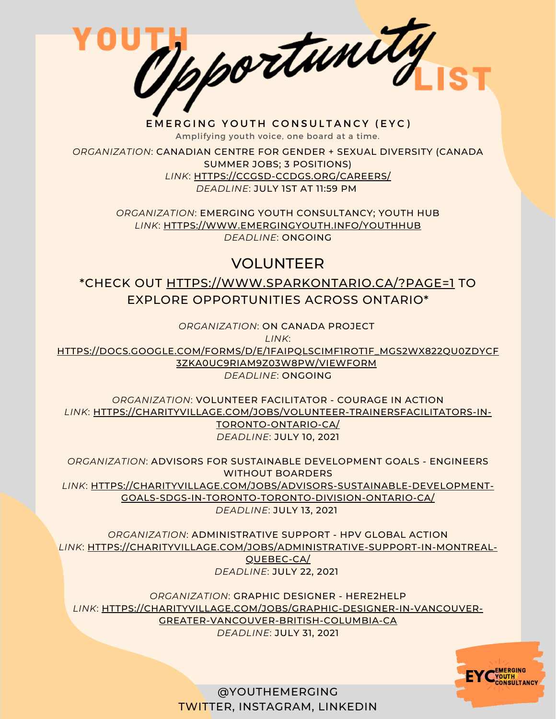Mportunity

*ORGANIZATION*: CANADIAN CENTRE FOR GENDER + SEXUAL DIVERSITY (CANADA SUMMER JOBS; 3 POSITIONS) *[LINK](https://ccgsd-ccdgs.org/careers/)*[:](https://ccgsd-ccdgs.org/careers/) [HTTPS://CCGSD-CCDGS.ORG/CAREERS/](https://ccgsd-ccdgs.org/careers/) *DEADLINE*: JULY 1ST AT 11:59 PM

> *ORGANIZATION*: EMERGING YOUTH CONSULTANCY; YOUTH HUB *LINK*: [HTTPS://WWW.EMERGINGYOUTH.INFO/YOUTHHUB](https://www.emergingyouth.info/youthhub) *DEADLINE*: ONGOING

# VOLUNTEER

\*CHECK OUT [HTTPS://WWW.SPARKONTARIO.CA/?PAGE=1](https://www.sparkontario.ca/?page=1) TO EXPLORE OPPORTUNITIES ACROSS ONTARIO\*

*ORGANIZATION*: ON CANADA PROJECT

*LINK*:

[HTTPS://DOCS.GOOGLE.COM/FORMS/D/E/1FAIPQLSCIMF1ROT1F\\_MGS2WX822QU0ZDYCF](https://docs.google.com/forms/d/e/1FAIpQLSciMF1ROT1f_mGS2Wx822QU0zDYcf3zka0UC9rIAM9z03W8Pw/viewform) 3ZKA0UC9RIAM9Z03W8PW/VIEWFORM *DEADLINE*: ONGOING

*ORGANIZATION*: VOLUNTEER FACILITATOR - COURAGE IN ACTION *LINK*: [HTTPS://CHARITYVILLAGE.COM/JOBS/VOLUNTEER-TRAINERSFACILITATORS-IN-](https://charityvillage.com/jobs/volunteer-trainersfacilitators-in-toronto-ontario-ca/)TORONTO-ONTARIO-CA/ *DEADLINE*: JULY 10, 2021

*ORGANIZATION*: ADVISORS FOR SUSTAINABLE DEVELOPMENT GOALS - ENGINEERS WITHOUT BOARDERS *[LINK](https://sandboxproject.us5.list-manage.com/track/click?u=1282e993486b7e61ebb31cd46&id=29cc374e1f&e=84a00a6451)*[:](https://sandboxproject.us5.list-manage.com/track/click?u=1282e993486b7e61ebb31cd46&id=29cc374e1f&e=84a00a6451) [HTTPS://CHARITYVILLAGE.COM/JOBS/ADVISORS-SUSTAINABLE-DEVELOPMENT-](https://sandboxproject.us5.list-manage.com/track/click?u=1282e993486b7e61ebb31cd46&id=29cc374e1f&e=84a00a6451)GOALS-SDGS-IN-TORONTO-TORONTO-DIVISION-ONTARIO-CA/ *DEADLINE*: JULY 13, 2021

*ORGANIZATION*: ADMINISTRATIVE SUPPORT - HPV GLOBAL ACTION *LINK*: [HTTPS://CHARITYVILLAGE.COM/JOBS/ADMINISTRATIVE-SUPPORT-IN-MONTREAL-](https://sandboxproject.us5.list-manage.com/track/click?u=1282e993486b7e61ebb31cd46&id=97554d148e&e=84a00a6451)QUEBEC-CA/ *DEADLINE*: JULY 22, 2021

*ORGANIZATION*: GRAPHIC DESIGNER - HERE2HELP *LINK*: [HTTPS://CHARITYVILLAGE.COM/JOBS/GRAPHIC-DESIGNER-IN-VANCOUVER-](https://sandboxproject.us5.list-manage.com/track/click?u=1282e993486b7e61ebb31cd46&id=35890b5cb3&e=84a00a6451)GREATER-VANCOUVER-BRITISH-COLUMBIA-CA

*DEADLINE*: JULY 31, 2021

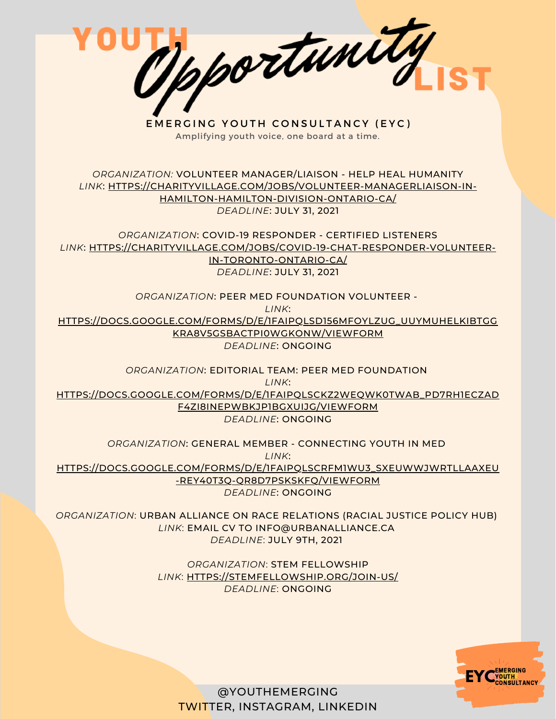Opportunity EMERGING YOUTH CONSULTANCY (EYC) Amplifying youth voice, one board at a time. *ORGANIZATION:* VOLUNTEER MANAGER/LIAISON - HELP HEAL HUMANITY *LINK*: [HTTPS://CHARITYVILLAGE.COM/JOBS/VOLUNTEER-MANAGERLIAISON-IN-](https://sandboxproject.us5.list-manage.com/track/click?u=1282e993486b7e61ebb31cd46&id=59297b6fb1&e=84a00a6451)HAMILTON-HAMILTON-DIVISION-ONTARIO-CA/ *DEADLINE*: JULY 31, 2021 *ORGANIZATION*: COVID-19 RESPONDER - CERTIFIED LISTENERS *LINK*: [HTTPS://CHARITYVILLAGE.COM/JOBS/COVID-19-CHAT-RESPONDER-VOLUNTEER-](https://sandboxproject.us5.list-manage.com/track/click?u=1282e993486b7e61ebb31cd46&id=cc499f8b83&e=84a00a6451)IN-TORONTO-ONTARIO-CA/ *DEADLINE*: JULY 31, 2021 *ORGANIZATION*: PEER MED FOUNDATION VOLUNTEER - *LINK*: [HTTPS://DOCS.GOOGLE.COM/FORMS/D/E/1FAIPQLSD156MFOYLZUG\\_UUYMUHELKIBTGG](https://sandboxproject.us5.list-manage.com/track/click?u=1282e993486b7e61ebb31cd46&id=23f07856e7&e=84a00a6451) KRA8V5GSBACTPI0WGKONW/VIEWFORM *DEADLINE*: ONGOING *ORGANIZATION*: EDITORIAL TEAM: PEER MED FOUNDATION *LINK*: [HTTPS://DOCS.GOOGLE.COM/FORMS/D/E/1FAIPQLSCKZ2WEQWK0TWAB\\_PD7RH1ECZAD](https://sandboxproject.us5.list-manage.com/track/click?u=1282e993486b7e61ebb31cd46&id=ffb32156b4&e=84a00a6451) F4ZI8INEPWBKJP1BGXUIJG/VIEWFORM *DEADLINE*: ONGOING *ORGANIZATION*: GENERAL MEMBER - CONNECTING YOUTH IN MED *LINK*: [HTTPS://DOCS.GOOGLE.COM/FORMS/D/E/1FAIPQLSCRFM1WU3\\_SXEUWWJWRTLLAAXEU](https://sandboxproject.us5.list-manage.com/track/click?u=1282e993486b7e61ebb31cd46&id=03e080523e&e=84a00a6451) -REY40T3Q-QR8D7PSKSKFQ/VIEWFORM *DEADLINE*: ONGOING *ORGANIZATION*: URBAN ALLIANCE ON RACE RELATIONS (RACIAL JUSTICE POLICY HUB) *LINK*: EMAIL CV TO [INFO@URBANALLIANCE.CA](mailto:info@urbanalliance.ca) *DEADLINE*: JULY 9TH, 2021 *ORGANIZATION*: STEM FELLOWSHIP

*LINK*: [HTTPS://STEMFELLOWSHIP.ORG/JOIN-US/](https://stemfellowship.org/join-us/) *DEADLINE*: ONGOING

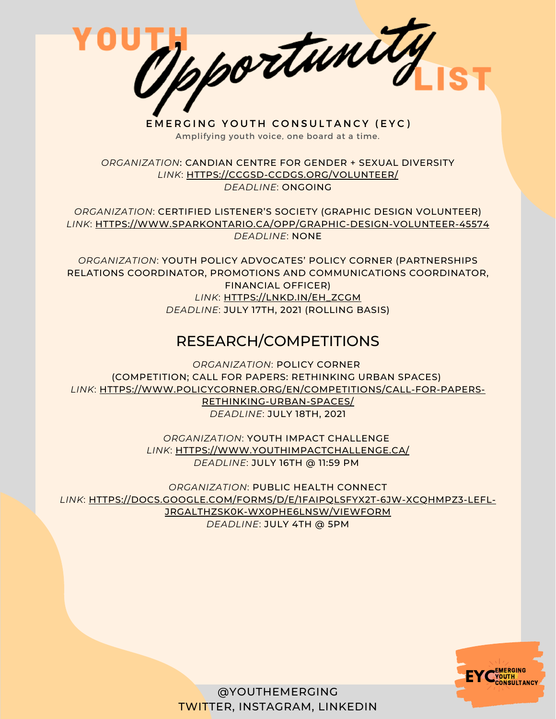Tpportunity

EMERGING YOUTH CONSULTANCY (EYC) Amplifying youth voice, one board at a time.

*ORGANIZATION*: CANDIAN CENTRE FOR GENDER + SEXUAL DIVERSITY *LINK*: [HTTPS://CCGSD-CCDGS.ORG/VOLUNTEER/](https://ccgsd-ccdgs.org/volunteer/) *DEADLINE*: ONGOING

*ORGANIZATION*: CERTIFIED LISTENER'S SOCIETY (GRAPHIC DESIGN VOLUNTEER) *LINK*: [HTTPS://WWW.SPARKONTARIO.CA/OPP/GRAPHIC-DESIGN-VOLUNTEER-45574](https://www.sparkontario.ca/opp/graphic-design-volunteer-45574) *DEADLINE*: NONE

*ORGANIZATION*: YOUTH POLICY ADVOCATES' POLICY CORNER (PARTNERSHIPS RELATIONS COORDINATOR, PROMOTIONS AND COMMUNICATIONS COORDINATOR, FINANCIAL OFFICER) *LINK*: [HTTPS://LNKD.IN/EH\\_ZCGM](https://lnkd.in/eh_ZcGM) *DEADLINE*: JULY 17TH, 2021 (ROLLING BASIS)

## RESEARCH/COMPETITIONS

*ORGANIZATION*: POLICY CORNER (COMPETITION; CALL FOR PAPERS: RETHINKING URBAN SPACES) *LINK*: [HTTPS://WWW.POLICYCORNER.ORG/EN/COMPETITIONS/CALL-FOR-PAPERS-](https://www.policycorner.org/en/competitions/call-for-papers-rethinking-urban-spaces/)RETHINKING-URBAN-SPACES/ *DEADLINE*: JULY 18TH, 2021

> *ORGANIZATION*: YOUTH IMPACT CHALLENGE *LINK*: [HTTPS://WWW.YOUTHIMPACTCHALLENGE.CA/](https://www.youthimpactchallenge.ca/) *DEADLINE*: JULY 16TH @ 11:59 PM

*ORGANIZATION*: PUBLIC HEALTH CONNECT *LINK*: [HTTPS://DOCS.GOOGLE.COM/FORMS/D/E/1FAIPQLSFYX2T-6JW-XCQHMPZ3-LEFL-](https://docs.google.com/forms/d/e/1FAIpQLSfYx2T-6jw-xCQHMPz3-lefl-JrgAlthZsK0K-WX0Phe6lnsw/viewform)JRGALTHZSK0K-WX0PHE6LNSW/VIEWFORM *DEADLINE*: JULY 4TH @ 5PM

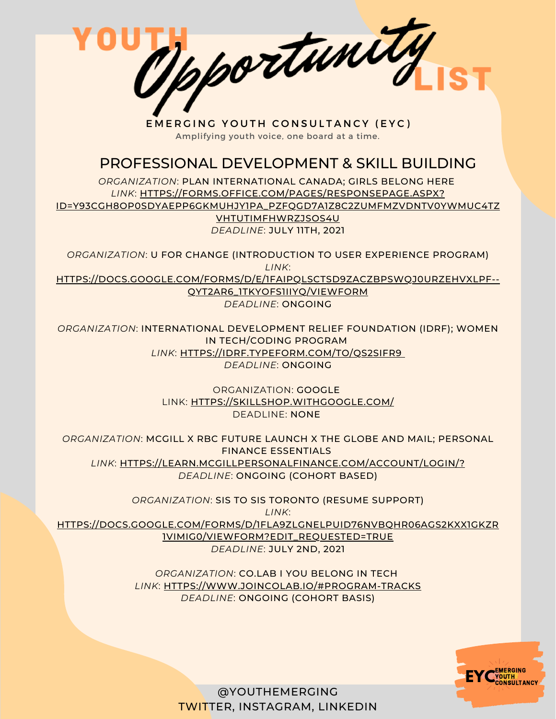Tpportunity EMERGING YOUTH CONSULTANCY (EYC)

Amplifying youth voice, one board at a time.

### PROFESSIONAL DEVELOPMENT & SKILL BUILDING

*ORGANIZATION*: PLAN INTERNATIONAL CANADA; GIRLS BELONG HERE *LINK*: HTTPS://FORMS.OFFICE.COM/PAGES/RESPONSEPAGE.ASPX? [ID=Y93CGH8OP0SDYAEPP6GKMUHJY1PA\\_PZFQGD7A1Z8C2ZUMFMZVDNTV0YWMUC4TZ](https://forms.office.com/pages/responsepage.aspx?id=y93Cgh8OP0SdYAepP6GKmuhjY1PA_pZFqgd7A1z8C2ZUMFMzVDNTV0YwMUc4TzVHTUtIMFhWRzJSOS4u) VHTUTIMFHWRZJSOS4U *DEADLINE*: JULY 11TH, 2021

*ORGANIZATION*: U FOR CHANGE (INTRODUCTION TO USER EXPERIENCE PROGRAM) *LINK*:

[HTTPS://DOCS.GOOGLE.COM/FORMS/D/E/1FAIPQLSCTSD9ZACZBPSWQJ0URZEHVXLPF--](https://docs.google.com/forms/d/e/1FAIpQLSctSd9ZAcZBpswQj0URzEHVXlpF--qyT2AR6_1tKyoFS1iIYQ/viewform) QYT2AR6\_1TKYOFS1IIYQ/VIEWFORM

*DEADLINE*: ONGOING

*ORGANIZATION*: INTERNATIONAL DEVELOPMENT RELIEF FOUNDATION (IDRF); WOMEN IN TECH/CODING PROGRAM *LINK*: [HTTPS://IDRF.TYPEFORM.COM/TO/QS2SIFR9](https://idrf.typeform.com/to/qs2SIFR9) *DEADLINE*: ONGOING

> ORGANIZATION: GOOGLE LINK: [HTTPS://SKILLSHOP.WITHGOOGLE.COM/](https://skillshop.withgoogle.com/) DEADLINE: NONE

*ORGANIZATION*: MCGILL X RBC FUTURE LAUNCH X THE GLOBE AND MAIL; PERSONAL FINANCE ESSENTIALS *LINK*: [HTTPS://LEARN.MCGILLPERSONALFINANCE.COM/ACCOUNT/LOGIN/?](https://learn.mcgillpersonalfinance.com/account/login/) *DEADLINE*: ONGOING (COHORT BASED)

*ORGANIZATION*: SIS TO SIS TORONTO (RESUME SUPPORT) *LINK*: [HTTPS://DOCS.GOOGLE.COM/FORMS/D/1FLA9ZLGNELPUID76NVBQHR06AGS2KXX1GKZR](https://docs.google.com/forms/d/1FLa9zlGnElPuId76nvbQHr06AgS2kxx1gKzR1vImIg0/viewform?edit_requested=true) 1VIMIG0/VIEWFORM?EDIT\_REQUESTED=TRUE *DEADLINE*: JULY 2ND, 2021

> *ORGANIZATION*: CO.LAB I YOU BELONG IN TECH *LINK*: [HTTPS://WWW.JOINCOLAB.IO/#PROGRAM-TRACKS](https://www.joincolab.io/#Program-Tracks) *DEADLINE*: ONGOING (COHORT BASIS)

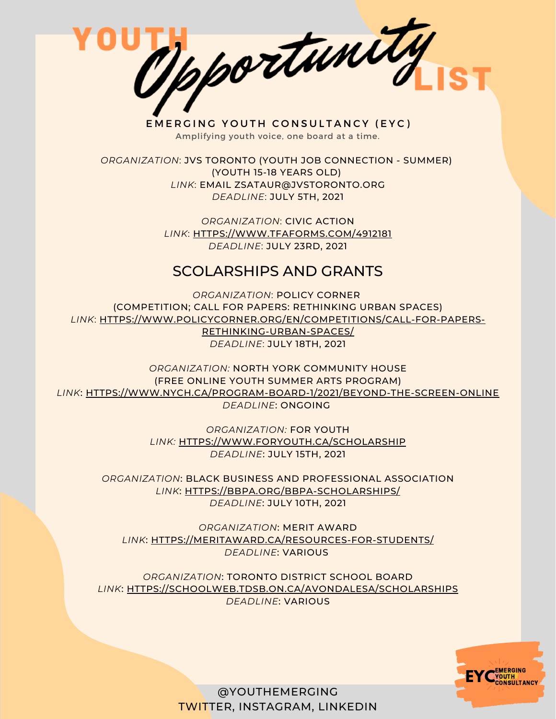

*ORGANIZATION*: JVS TORONTO (YOUTH JOB CONNECTION - SUMMER) (YOUTH 15-18 YEARS OLD) *LINK*: EMAIL ZSATAUR@JVSTORONTO.ORG *DEADLINE*: JULY 5TH, 2021

> *ORGANIZATION*: CIVIC ACTION *LINK*: [HTTPS://WWW.TFAFORMS.COM/4912181](https://www.tfaforms.com/4912181) *DEADLINE*: JULY 23RD, 2021

#### SCOLARSHIPS AND GRANTS

*ORGANIZATION*: POLICY CORNER (COMPETITION; CALL FOR PAPERS: RETHINKING URBAN SPACES) *LINK*: [HTTPS://WWW.POLICYCORNER.ORG/EN/COMPETITIONS/CALL-FOR-PAPERS-](https://www.policycorner.org/en/competitions/call-for-papers-rethinking-urban-spaces/)RETHINKING-URBAN-SPACES/

*DEADLINE*: JULY 18TH, 2021

*ORGANIZATION:* NORTH YORK COMMUNITY HOUSE (FREE ONLINE YOUTH SUMMER ARTS PROGRAM) *LINK*: [HTTPS://WWW.NYCH.CA/PROGRAM-BOARD-1/2021/BEYOND-THE-SCREEN-ONLINE](https://www.nych.ca/program-board-1/2021/beyond-the-screen-online) *DEADLINE*: ONGOING

> *ORGANIZATION:* FOR YOUTH *[LINK:](https://www.foryouth.ca/scholarship)* [HTTPS://WWW.FORYOUTH.CA/SCHOLARSHIP](https://www.foryouth.ca/scholarship) *DEADLINE*: JULY 15TH, 2021

*ORGANIZATION*: BLACK BUSINESS AND PROFESSIONAL ASSOCIATION *[LINK](https://bbpa.org/bbpa-scholarships/)*[:](https://bbpa.org/bbpa-scholarships/) [HTTPS://BBPA.ORG/BBPA-SCHOLARSHIPS/](https://bbpa.org/bbpa-scholarships/) *DEADLINE*: JULY 10TH, 2021

*ORGANIZATION*: MERIT AWARD *[LINK](https://meritaward.ca/resources-for-students/)*[:](https://meritaward.ca/resources-for-students/) [HTTPS://MERITAWARD.CA/RESOURCES-FOR-STUDENTS/](https://meritaward.ca/resources-for-students/) *DEADLINE*: VARIOUS

*ORGANIZATION*: TORONTO DISTRICT SCHOOL BOARD *[LINK](https://schoolweb.tdsb.on.ca/avondalesa/Scholarships)*[:](https://schoolweb.tdsb.on.ca/avondalesa/Scholarships) [HTTPS://SCHOOLWEB.TDSB.ON.CA/AVONDALESA/SCHOLARSHIPS](https://schoolweb.tdsb.on.ca/avondalesa/Scholarships) *DEADLINE*: VARIOUS